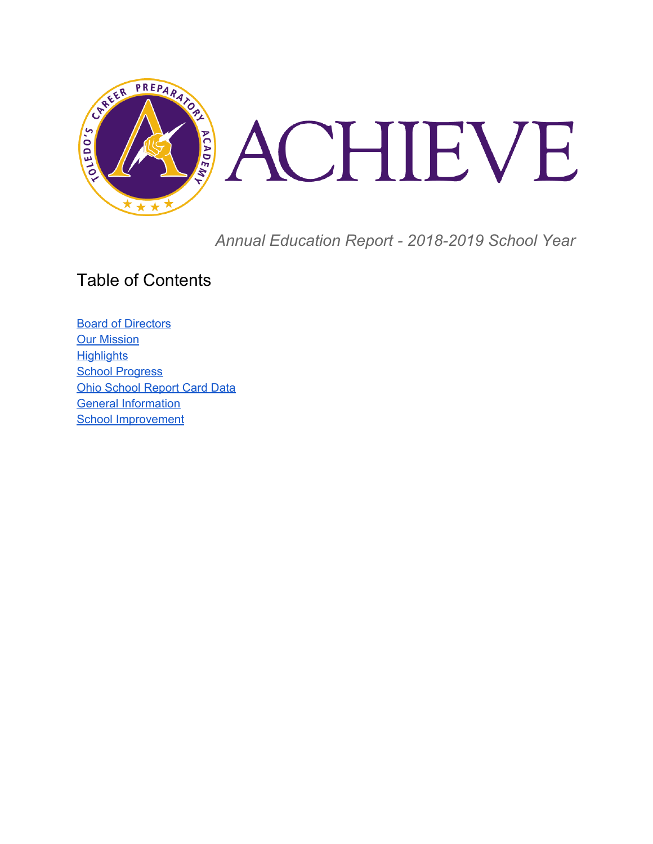

*Annual Education Report - 2018-2019 School Year*

### Table of Contents

**Board of [Directors](#page-1-0) Our [Mission](#page-1-1) [Highlights](#page-1-2) School [Progress](#page-2-0)** Ohio [School](#page-2-1) Report Card Data General Information School Improvement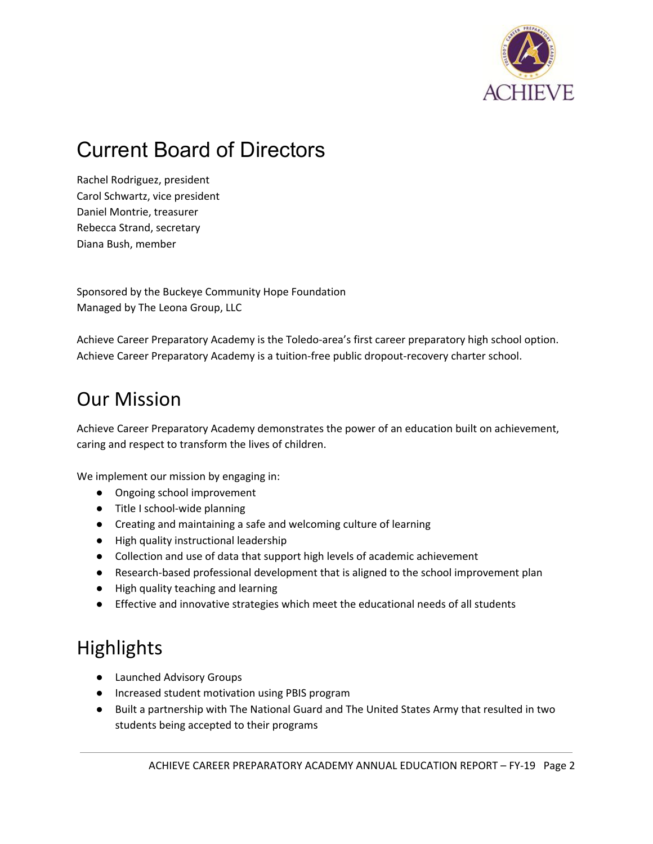

## <span id="page-1-0"></span>Current Board of Directors

Rachel Rodriguez, president Carol Schwartz, vice president Daniel Montrie, treasurer Rebecca Strand, secretary Diana Bush, member

Sponsored by the Buckeye Community Hope Foundation Managed by The Leona Group, LLC

Achieve Career Preparatory Academy is the Toledo-area's first career preparatory high school option. Achieve Career Preparatory Academy is a tuition-free public dropout-recovery charter school.

## <span id="page-1-1"></span>Our Mission

Achieve Career Preparatory Academy demonstrates the power of an education built on achievement, caring and respect to transform the lives of children.

We implement our mission by engaging in:

- Ongoing school improvement
- Title I school-wide planning
- Creating and maintaining a safe and welcoming culture of learning
- High quality instructional leadership
- Collection and use of data that support high levels of academic achievement
- Research-based professional development that is aligned to the school improvement plan
- High quality teaching and learning
- Effective and innovative strategies which meet the educational needs of all students

## <span id="page-1-2"></span>**Highlights**

- Launched Advisory Groups
- Increased student motivation using PBIS program
- Built a partnership with The National Guard and The United States Army that resulted in two students being accepted to their programs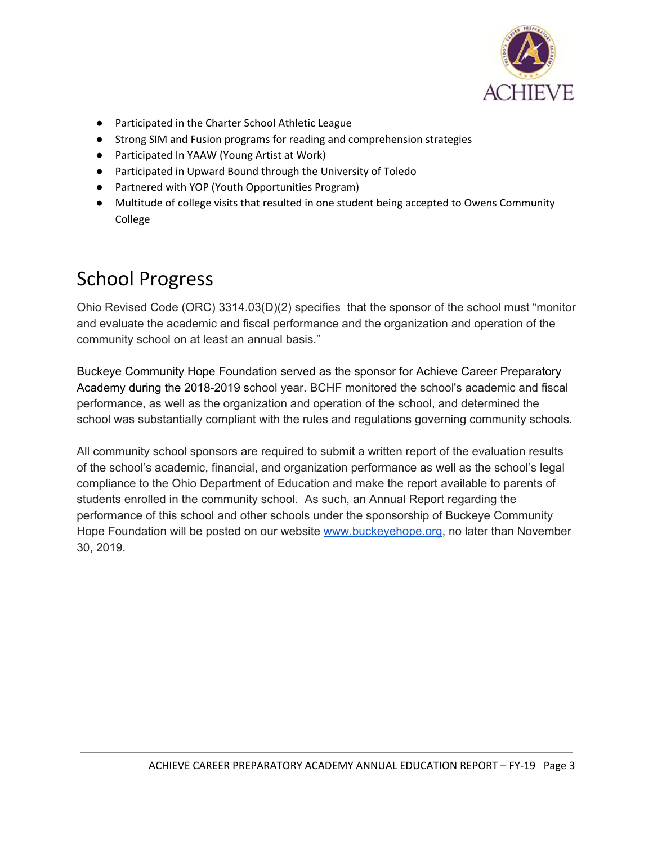

- Participated in the Charter School Athletic League
- Strong SIM and Fusion programs for reading and comprehension strategies
- Participated In YAAW (Young Artist at Work)
- Participated in Upward Bound through the University of Toledo
- Partnered with YOP (Youth Opportunities Program)
- Multitude of college visits that resulted in one student being accepted to Owens Community College

## <span id="page-2-0"></span>School Progress

Ohio Revised Code (ORC) 3314.03(D)(2) specifies that the sponsor of the school must "monitor and evaluate the academic and fiscal performance and the organization and operation of the community school on at least an annual basis."

Buckeye Community Hope Foundation served as the sponsor for Achieve Career Preparatory Academy during the 2018-2019 school year. BCHF monitored the school's academic and fiscal performance, as well as the organization and operation of the school, and determined the school was substantially compliant with the rules and regulations governing community schools.

<span id="page-2-1"></span>All community school sponsors are required to submit a written report of the evaluation results of the school's academic, financial, and organization performance as well as the school's legal compliance to the Ohio Department of Education and make the report available to parents of students enrolled in the community school. As such, an Annual Report regarding the performance of this school and other schools under the sponsorship of Buckeye Community Hope Foundation will be posted on our website [www.buckeyehope.org,](http://www.buckeyehope.org/) no later than November 30, 2019.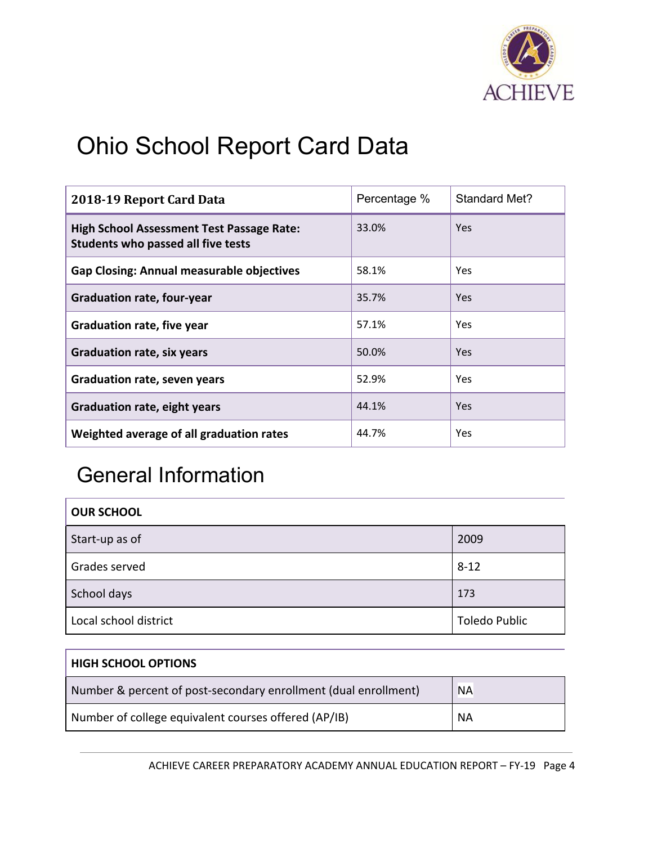

# Ohio School Report Card Data

| 2018-19 Report Card Data                                                               | Percentage % | Standard Met? |
|----------------------------------------------------------------------------------------|--------------|---------------|
| <b>High School Assessment Test Passage Rate:</b><br>Students who passed all five tests | 33.0%        | <b>Yes</b>    |
| <b>Gap Closing: Annual measurable objectives</b>                                       | 58.1%        | <b>Yes</b>    |
| <b>Graduation rate, four-year</b>                                                      | 35.7%        | <b>Yes</b>    |
| <b>Graduation rate, five year</b>                                                      | 57.1%        | Yes.          |
| <b>Graduation rate, six years</b>                                                      | 50.0%        | Yes.          |
| <b>Graduation rate, seven years</b>                                                    | 52.9%        | <b>Yes</b>    |
| <b>Graduation rate, eight years</b>                                                    | 44.1%        | <b>Yes</b>    |
| Weighted average of all graduation rates                                               | 44.7%        | <b>Yes</b>    |

## General Information

| <b>OUR SCHOOL</b>     |                      |
|-----------------------|----------------------|
| Start-up as of        | 2009                 |
| Grades served         | $8 - 12$             |
| School days           | 173                  |
| Local school district | <b>Toledo Public</b> |

| <b>HIGH SCHOOL OPTIONS</b>                                      |           |
|-----------------------------------------------------------------|-----------|
| Number & percent of post-secondary enrollment (dual enrollment) | <b>NA</b> |
| Number of college equivalent courses offered (AP/IB)            | <b>NA</b> |

ACHIEVE CAREER PREPARATORY ACADEMY ANNUAL EDUCATION REPORT – FY-19 Page 4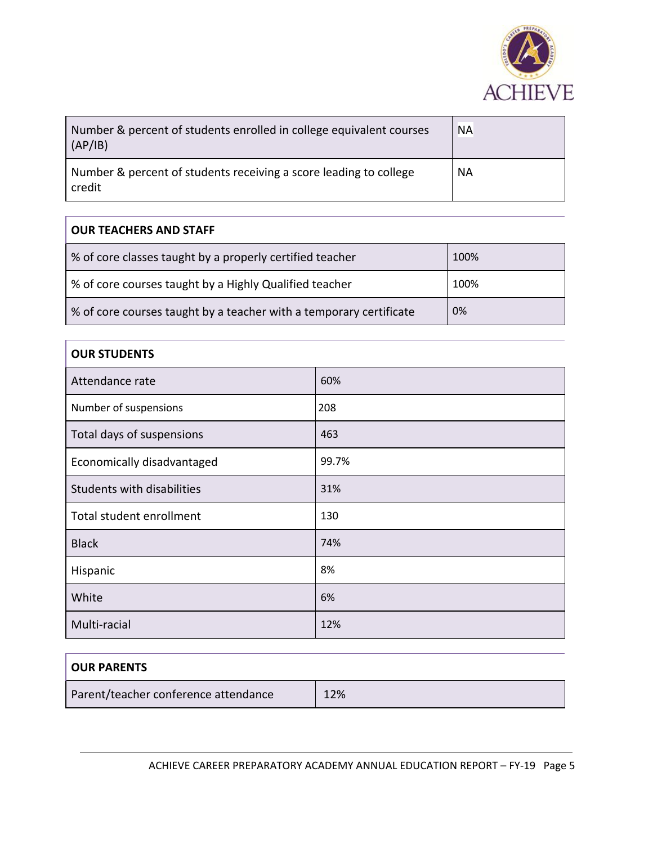

| Number & percent of students enrolled in college equivalent courses<br>(AP/IB) | <b>NA</b> |
|--------------------------------------------------------------------------------|-----------|
| Number & percent of students receiving a score leading to college<br>credit    | <b>NA</b> |

#### **OUR TEACHERS AND STAFF**

| % of core classes taught by a properly certified teacher           | 100% |
|--------------------------------------------------------------------|------|
| % of core courses taught by a Highly Qualified teacher             | 100% |
| % of core courses taught by a teacher with a temporary certificate | 0%   |

#### **OUR STUDENTS**

| Attendance rate            | 60%   |
|----------------------------|-------|
| Number of suspensions      | 208   |
| Total days of suspensions  | 463   |
| Economically disadvantaged | 99.7% |
| Students with disabilities | 31%   |
| Total student enrollment   | 130   |
| <b>Black</b>               | 74%   |
| Hispanic                   | 8%    |
| White                      | 6%    |
| Multi-racial               | 12%   |

| <b>OUR PARENTS</b>                   |     |
|--------------------------------------|-----|
| Parent/teacher conference attendance | 12% |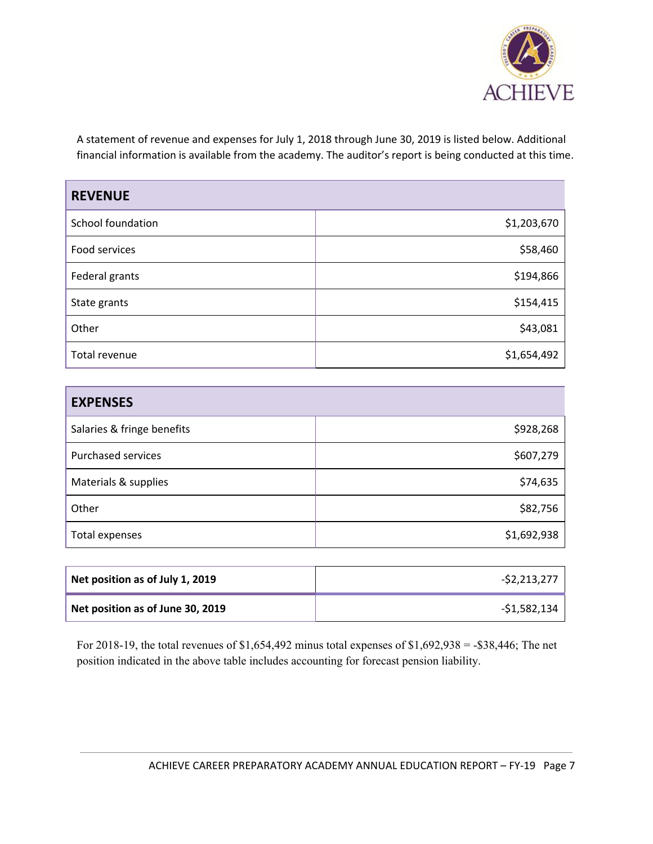

A statement of revenue and expenses for July 1, 2018 through June 30, 2019 is listed below. Additional financial information is available from the academy. The auditor's report is being conducted at this time.

| <b>REVENUE</b>    |             |
|-------------------|-------------|
| School foundation | \$1,203,670 |
| Food services     | \$58,460    |
| Federal grants    | \$194,866   |
| State grants      | \$154,415   |
| Other             | \$43,081    |
| Total revenue     | \$1,654,492 |

| <b>EXPENSES</b>            |             |
|----------------------------|-------------|
| Salaries & fringe benefits | \$928,268   |
| <b>Purchased services</b>  | \$607,279   |
| Materials & supplies       | \$74,635    |
| Other                      | \$82,756    |
| Total expenses             | \$1,692,938 |

| Net position as of July 1, 2019  | $-52,213,277$ |
|----------------------------------|---------------|
| Net position as of June 30, 2019 | -\$1,582,134  |

For 2018-19, the total revenues of \$1,654,492 minus total expenses of \$1,692,938 = -\$38,446; The net position indicated in the above table includes accounting for forecast pension liability.